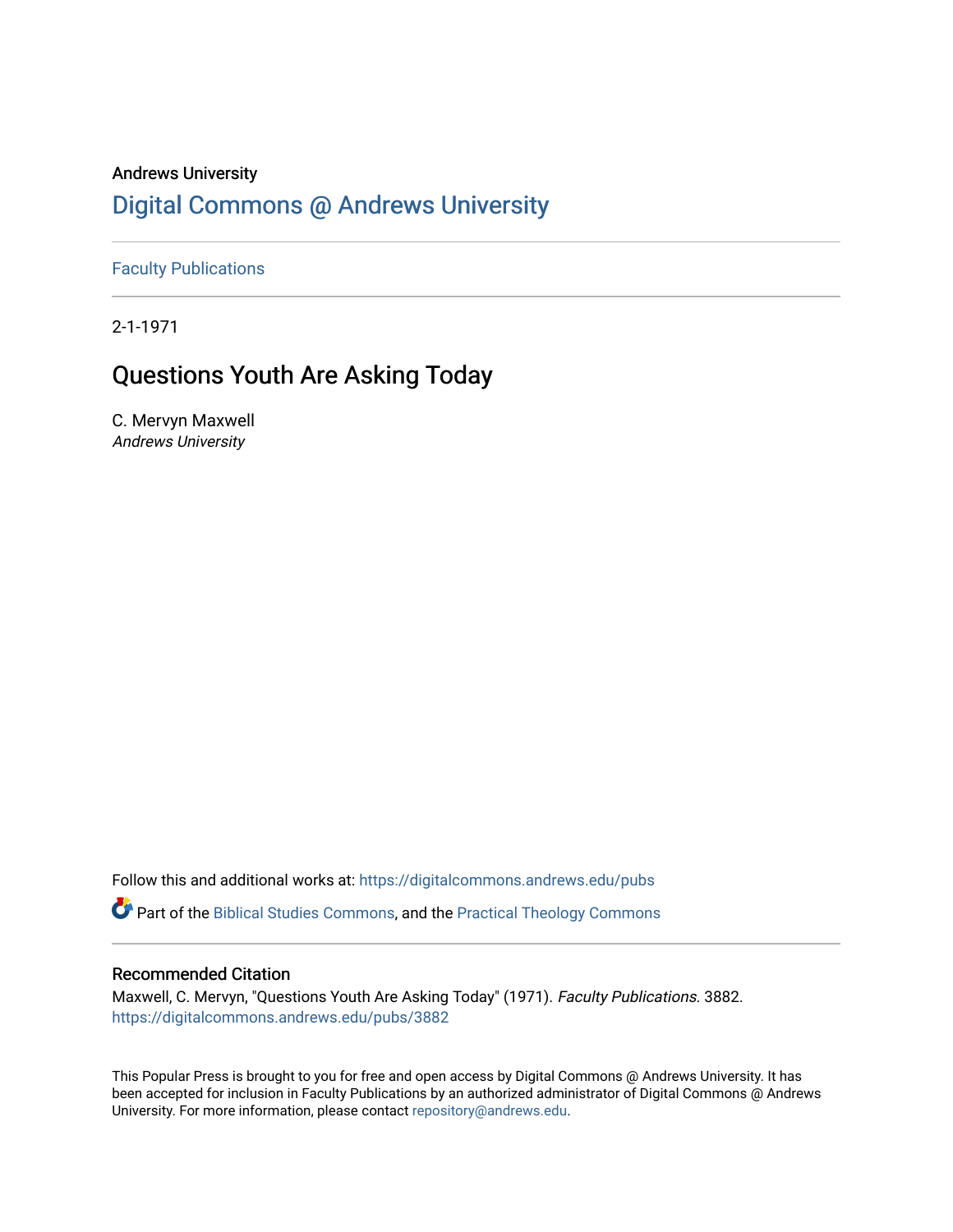# Andrews University [Digital Commons @ Andrews University](https://digitalcommons.andrews.edu/)

[Faculty Publications](https://digitalcommons.andrews.edu/pubs)

2-1-1971

# Questions Youth Are Asking Today

C. Mervyn Maxwell Andrews University

Follow this and additional works at: [https://digitalcommons.andrews.edu/pubs](https://digitalcommons.andrews.edu/pubs?utm_source=digitalcommons.andrews.edu%2Fpubs%2F3882&utm_medium=PDF&utm_campaign=PDFCoverPages) 

Part of the [Biblical Studies Commons,](http://network.bepress.com/hgg/discipline/539?utm_source=digitalcommons.andrews.edu%2Fpubs%2F3882&utm_medium=PDF&utm_campaign=PDFCoverPages) and the [Practical Theology Commons](http://network.bepress.com/hgg/discipline/1186?utm_source=digitalcommons.andrews.edu%2Fpubs%2F3882&utm_medium=PDF&utm_campaign=PDFCoverPages) 

# Recommended Citation

Maxwell, C. Mervyn, "Questions Youth Are Asking Today" (1971). Faculty Publications. 3882. [https://digitalcommons.andrews.edu/pubs/3882](https://digitalcommons.andrews.edu/pubs/3882?utm_source=digitalcommons.andrews.edu%2Fpubs%2F3882&utm_medium=PDF&utm_campaign=PDFCoverPages) 

This Popular Press is brought to you for free and open access by Digital Commons @ Andrews University. It has been accepted for inclusion in Faculty Publications by an authorized administrator of Digital Commons @ Andrews University. For more information, please contact [repository@andrews.edu](mailto:repository@andrews.edu).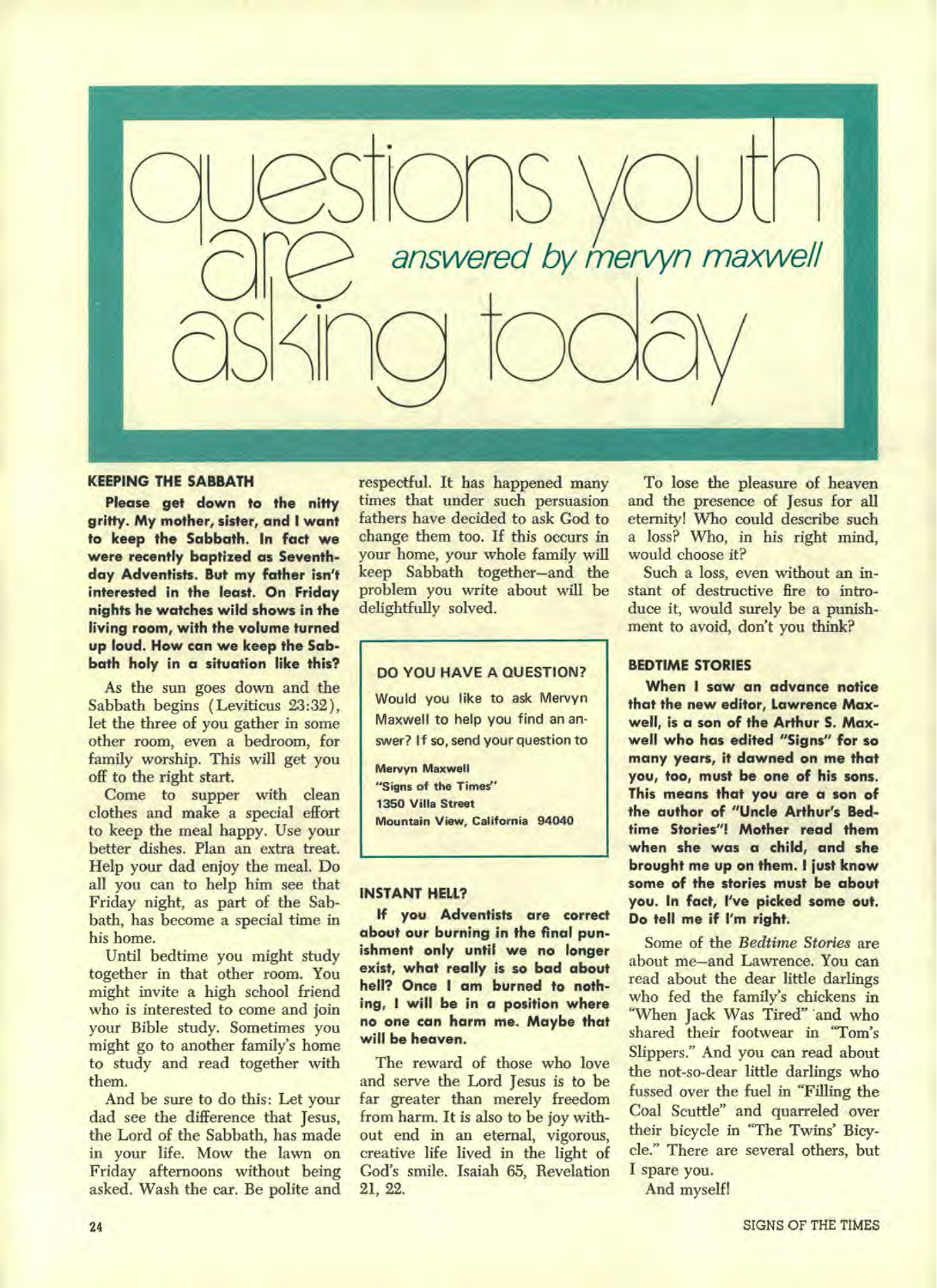

#### **KEEPING THE SABBATH**

**Please get down to the nitty gritty. My mother, sister, and I want to keep the Sabbath. In fact we were recently baptized as Seventhday Adventists. But my father isn't interested in the least. On Friday nights he watches wild shows in the living room, with the volume turned up loud. How can we keep the Sabbath holy in a situation like this?** 

As the sun goes down and the Sabbath begins ( Leviticus 23:32), let the three of you gather in some other room, even a bedroom, for family worship. This will get you off to the right start.

Come to supper with clean clothes and make a special effort to keep the meal happy. Use your better dishes. Plan an extra treat. Help your dad enjoy the meal. Do all you can to help him see that Friday night, as part of the Sabbath, has become a special time in his home.

Until bedtime you might study together in that other room. You might invite a high school friend who is interested to come and join your Bible study. Sometimes you might go to another family's home to study and read together with them.

And be sure to do this: Let your dad see the difference that Jesus, the Lord of the Sabbath, has made in your life. Mow the lawn on Friday afternoons without being asked. Wash the car. Be polite and

respectful. It has happened many times that under such persuasion fathers have decided to ask God to change them too. If this occurs in your home, your whole family will keep Sabbath together—and the problem you write about will be delightfully solved.

# **DO YOU HAVE A QUESTION?**

Would you like to ask Mervyn Maxwell to help you find an answer? If so, send your question to

Mervyn Maxwell "Signs of the Times" 1350 Villa Street Mountain View, California 94040

#### **INSTANT HELL?**

**If you Adventists are correct about our burning in the final punishment only until we no longer exist, what really is so bad about hell? Once I am burned to nothing, I will be in a position where no one can harm me. Maybe that will be heaven.** 

The reward of those who love and serve the Lord Jesus is to be far greater than merely freedom from harm. It is also to be joy without end in an eternal, vigorous, creative life lived in the light of God's smile. Isaiah 65, Revelation 21, 22.

To lose the pleasure of heaven and the presence of Jesus for all eternity! Who could describe such a loss? Who, in his right mind, would choose it?

Such a loss, even without an instant of destructive fire to introduce it, would surely be a punishment to avoid, don't you think?

### **BEDTIME STORIES**

**When I saw an advance notice that the new editor, Lawrence Maxwell, is a son of the Arthur S. Maxwell who has edited "Signs" for so many years, it dawned on me that you, too, must be one of his sons. This means that you are a son of the author of "Uncle Arthur's Bedtime Stories"! Mother read them when she was a child, and she brought me up on them. I just know some of the stories must be about you. In fact, I've picked some out. Do tell me if I'm right.** 

Some of the *Bedtime Stories* are about me—and Lawrence. You can read about the dear little darlings who fed the family's chickens in "When Jack Was Tired" and who shared their footwear in "Tom's Slippers." And you can read about the not-so-dear little darlings who fussed over the fuel in "Filling the Coal Scuttle" and quarreled over their bicycle in "The Twins' Bicycle." There are several others, but I spare you.

And myself!